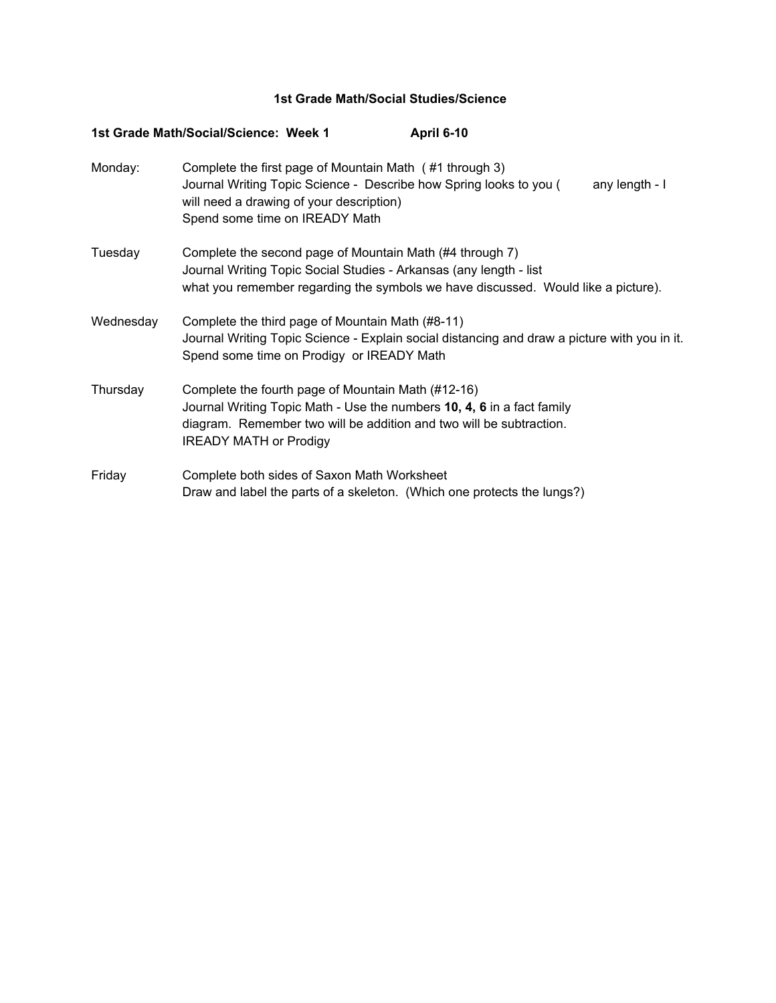## **1st Grade Math/Social Studies/Science**

|           | 1st Grade Math/Social/Science: Week 1<br>April 6-10                                                                                                                                                                                  |
|-----------|--------------------------------------------------------------------------------------------------------------------------------------------------------------------------------------------------------------------------------------|
| Monday:   | Complete the first page of Mountain Math (#1 through 3)<br>Journal Writing Topic Science - Describe how Spring looks to you (<br>any length - I<br>will need a drawing of your description)<br>Spend some time on IREADY Math        |
| Tuesday   | Complete the second page of Mountain Math (#4 through 7)<br>Journal Writing Topic Social Studies - Arkansas (any length - list<br>what you remember regarding the symbols we have discussed. Would like a picture).                  |
| Wednesday | Complete the third page of Mountain Math (#8-11)<br>Journal Writing Topic Science - Explain social distancing and draw a picture with you in it.<br>Spend some time on Prodigy or IREADY Math                                        |
| Thursday  | Complete the fourth page of Mountain Math (#12-16)<br>Journal Writing Topic Math - Use the numbers 10, 4, 6 in a fact family<br>diagram. Remember two will be addition and two will be subtraction.<br><b>IREADY MATH or Prodigy</b> |
| Friday    | Complete both sides of Saxon Math Worksheet<br>Draw and label the parts of a skeleton. (Which one protects the lungs?)                                                                                                               |